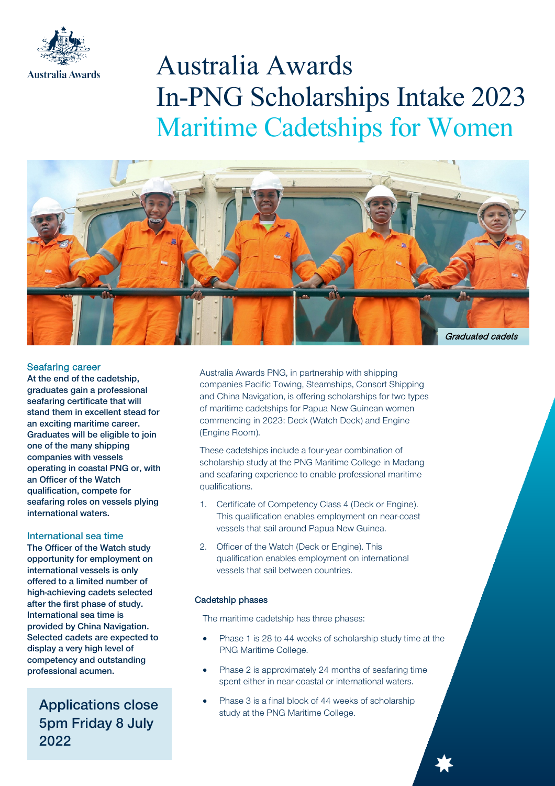

# Australia Awards In-PNG Scholarships Intake 2023 Maritime Cadetships for Women



## Seafaring career

At the end of the cadetship, graduates gain a professional seafaring certificate that will stand them in excellent stead for an exciting maritime career. Graduates will be eligible to join one of the many shipping companies with vessels operating in coastal PNG or, with an Officer of the Watch qualification, compete for seafaring roles on vessels plying international waters.

#### International sea time

The Officer of the Watch study opportunity for employment on international vessels is only offered to a limited number of high-achieving cadets selected after the first phase of study. International sea time is provided by China Navigation. Selected cadets are expected to display a very high level of competency and outstanding professional acumen.

5pm Friday 8 July 2022

Australia Awards PNG, in partnership with shipping companies Pacific Towing, Steamships, Consort Shipping and China Navigation, is offering scholarships for two types of maritime cadetships for Papua New Guinean women commencing in 2023: Deck (Watch Deck) and Engine (Engine Room).

These cadetships include a four-year combination of scholarship study at the PNG Maritime College in Madang and seafaring experience to enable professional maritime qualifications.

- 1. Certificate of Competency Class 4 (Deck or Engine). This qualification enables employment on near-coast vessels that sail around Papua New Guinea.
- 2. Officer of the Watch (Deck or Engine). This qualification enables employment on international vessels that sail between countries.

## Cadetship phases

The maritime cadetship has three phases:

- Phase 1 is 28 to 44 weeks of scholarship study time at the PNG Maritime College.
- Phase 2 is approximately 24 months of seafaring time spent either in near-coastal or international waters.
- Phase 3 is a final block of 44 weeks of scholarship **Applications close** study at the PNG Maritime College.